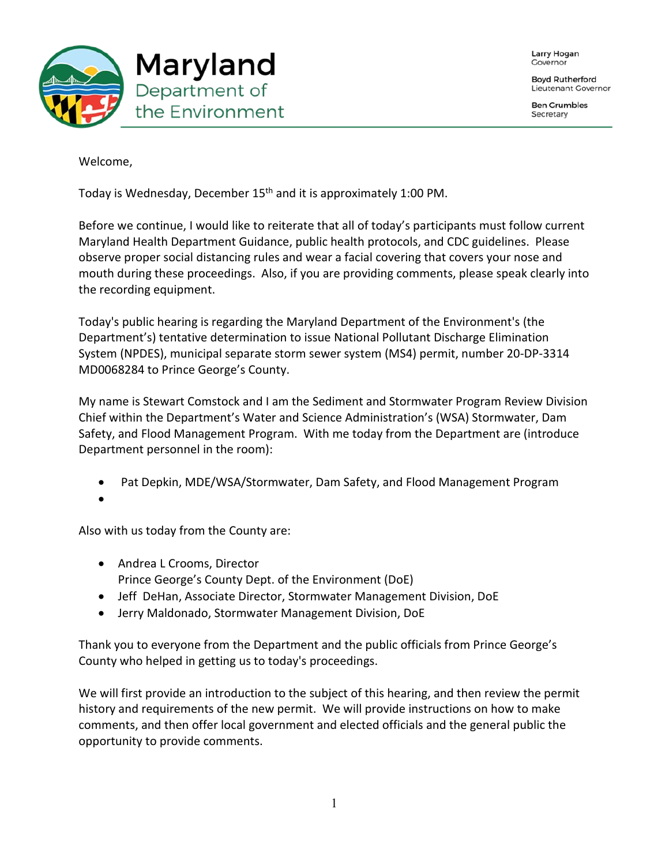Larry Hogan Governor

**Boyd Rutherford** Lieutenant Governor

**Ben Grumbles** Secretary



Welcome,

Today is Wednesday, December 15<sup>th</sup> and it is approximately 1:00 PM.

Before we continue, I would like to reiterate that all of today's participants must follow current Maryland Health Department Guidance, public health protocols, and CDC guidelines. Please observe proper social distancing rules and wear a facial covering that covers your nose and mouth during these proceedings. Also, if you are providing comments, please speak clearly into the recording equipment.

Today's public hearing is regarding the Maryland Department of the Environment's (the Department's) tentative determination to issue National Pollutant Discharge Elimination System (NPDES), municipal separate storm sewer system (MS4) permit, number 20-DP-3314 MD0068284 to Prince George's County.

My name is Stewart Comstock and I am the Sediment and Stormwater Program Review Division Chief within the Department's Water and Science Administration's (WSA) Stormwater, Dam Safety, and Flood Management Program. With me today from the Department are (introduce Department personnel in the room):

- Pat Depkin, MDE/WSA/Stormwater, Dam Safety, and Flood Management Program
- •

Also with us today from the County are:

- Andrea L Crooms, Director Prince George's County Dept. of the Environment (DoE)
- Jeff DeHan, Associate Director, Stormwater Management Division, DoE
- Jerry Maldonado, Stormwater Management Division, DoE

Thank you to everyone from the Department and the public officials from Prince George's County who helped in getting us to today's proceedings.

We will first provide an introduction to the subject of this hearing, and then review the permit history and requirements of the new permit. We will provide instructions on how to make comments, and then offer local government and elected officials and the general public the opportunity to provide comments.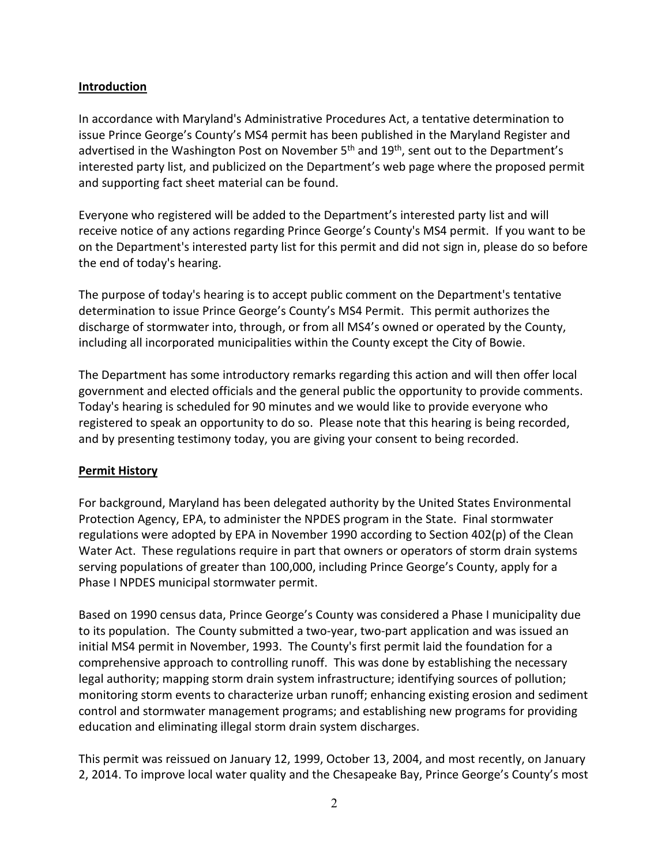## **Introduction**

In accordance with Maryland's Administrative Procedures Act, a tentative determination to issue Prince George's County's MS4 permit has been published in the Maryland Register and advertised in the Washington Post on November  $5<sup>th</sup>$  and  $19<sup>th</sup>$ , sent out to the Department's interested party list, and publicized on the Department's web page where the proposed permit and supporting fact sheet material can be found.

Everyone who registered will be added to the Department's interested party list and will receive notice of any actions regarding Prince George's County's MS4 permit. If you want to be on the Department's interested party list for this permit and did not sign in, please do so before the end of today's hearing.

The purpose of today's hearing is to accept public comment on the Department's tentative determination to issue Prince George's County's MS4 Permit. This permit authorizes the discharge of stormwater into, through, or from all MS4's owned or operated by the County, including all incorporated municipalities within the County except the City of Bowie.

The Department has some introductory remarks regarding this action and will then offer local government and elected officials and the general public the opportunity to provide comments. Today's hearing is scheduled for 90 minutes and we would like to provide everyone who registered to speak an opportunity to do so. Please note that this hearing is being recorded, and by presenting testimony today, you are giving your consent to being recorded.

## **Permit History**

For background, Maryland has been delegated authority by the United States Environmental Protection Agency, EPA, to administer the NPDES program in the State. Final stormwater regulations were adopted by EPA in November 1990 according to Section 402(p) of the Clean Water Act. These regulations require in part that owners or operators of storm drain systems serving populations of greater than 100,000, including Prince George's County, apply for a Phase I NPDES municipal stormwater permit.

Based on 1990 census data, Prince George's County was considered a Phase I municipality due to its population. The County submitted a two-year, two-part application and was issued an initial MS4 permit in November, 1993. The County's first permit laid the foundation for a comprehensive approach to controlling runoff. This was done by establishing the necessary legal authority; mapping storm drain system infrastructure; identifying sources of pollution; monitoring storm events to characterize urban runoff; enhancing existing erosion and sediment control and stormwater management programs; and establishing new programs for providing education and eliminating illegal storm drain system discharges.

This permit was reissued on January 12, 1999, October 13, 2004, and most recently, on January 2, 2014. To improve local water quality and the Chesapeake Bay, Prince George's County's most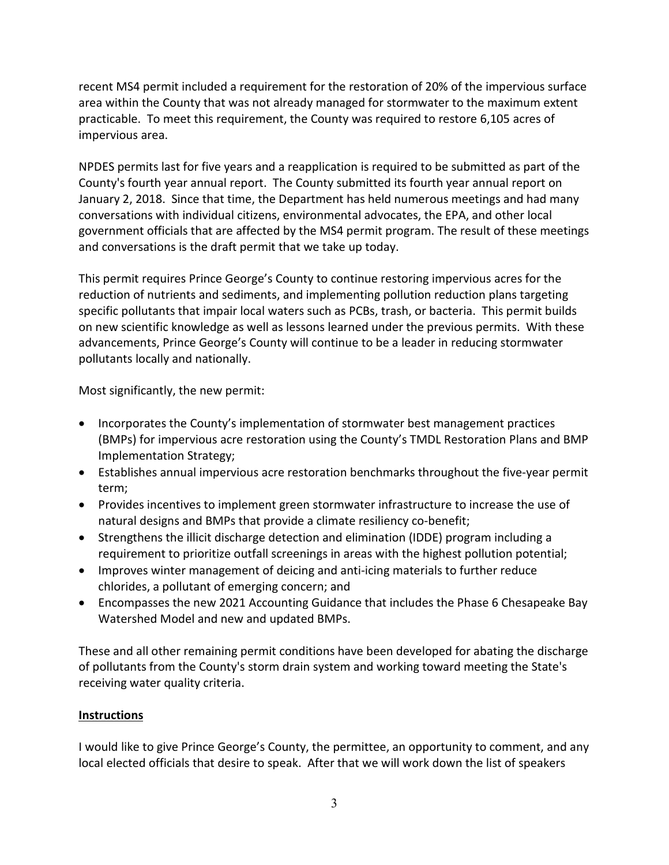recent MS4 permit included a requirement for the restoration of 20% of the impervious surface area within the County that was not already managed for stormwater to the maximum extent practicable. To meet this requirement, the County was required to restore 6,105 acres of impervious area.

NPDES permits last for five years and a reapplication is required to be submitted as part of the County's fourth year annual report. The County submitted its fourth year annual report on January 2, 2018. Since that time, the Department has held numerous meetings and had many conversations with individual citizens, environmental advocates, the EPA, and other local government officials that are affected by the MS4 permit program. The result of these meetings and conversations is the draft permit that we take up today.

This permit requires Prince George's County to continue restoring impervious acres for the reduction of nutrients and sediments, and implementing pollution reduction plans targeting specific pollutants that impair local waters such as PCBs, trash, or bacteria. This permit builds on new scientific knowledge as well as lessons learned under the previous permits. With these advancements, Prince George's County will continue to be a leader in reducing stormwater pollutants locally and nationally.

Most significantly, the new permit:

- Incorporates the County's implementation of stormwater best management practices (BMPs) for impervious acre restoration using the County's TMDL Restoration Plans and BMP Implementation Strategy;
- Establishes annual impervious acre restoration benchmarks throughout the five-year permit term;
- Provides incentives to implement green stormwater infrastructure to increase the use of natural designs and BMPs that provide a climate resiliency co-benefit;
- Strengthens the illicit discharge detection and elimination (IDDE) program including a requirement to prioritize outfall screenings in areas with the highest pollution potential;
- Improves winter management of deicing and anti-icing materials to further reduce chlorides, a pollutant of emerging concern; and
- Encompasses the new 2021 Accounting Guidance that includes the Phase 6 Chesapeake Bay Watershed Model and new and updated BMPs.

These and all other remaining permit conditions have been developed for abating the discharge of pollutants from the County's storm drain system and working toward meeting the State's receiving water quality criteria.

## **Instructions**

I would like to give Prince George's County, the permittee, an opportunity to comment, and any local elected officials that desire to speak. After that we will work down the list of speakers